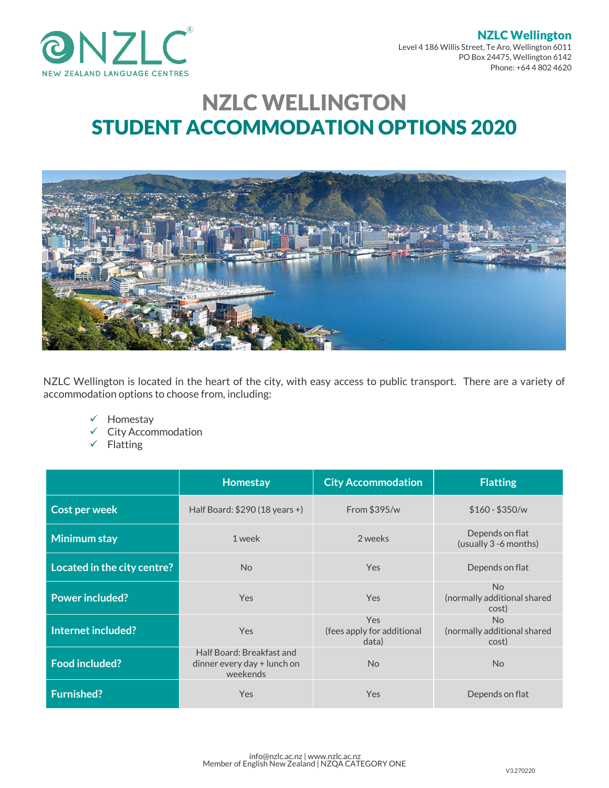

NZLC Wellington Level 4 186 Willis Street, Te Aro, Wellington 6011 PO Box 24475, Wellington 6142 Phone: +64 4 802 4620

# NZLC WELLINGTON STUDENT ACCOMMODATION OPTIONS 2020



NZLC Wellington is located in the heart of the city, with easy access to public transport. There are a variety of accommodation options to choose from, including:

- $\checkmark$  Homestay
- $\checkmark$  City Accommodation
- $\checkmark$  Flatting

|                             | Homestay                                                             | <b>City Accommodation</b>                         | <b>Flatting</b>                                        |
|-----------------------------|----------------------------------------------------------------------|---------------------------------------------------|--------------------------------------------------------|
| <b>Cost per week</b>        | Half Board: $$290 (18 years +)$                                      | From $$395/w$                                     | $$160 - $350/w$                                        |
| Minimum stay                | 1 week                                                               | 2 weeks                                           | Depends on flat<br>(usually 3 -6 months)               |
| Located in the city centre? | <b>No</b>                                                            | <b>Yes</b>                                        | Depends on flat                                        |
| <b>Power included?</b>      | Yes                                                                  | Yes                                               | <b>No</b><br>(normally additional shared<br>cost)      |
| Internet included?          | <b>Yes</b>                                                           | <b>Yes</b><br>(fees apply for additional<br>data) | N <sub>o</sub><br>(normally additional shared<br>cost) |
| <b>Food included?</b>       | Half Board: Breakfast and<br>dinner every day + lunch on<br>weekends | <b>No</b>                                         | N <sub>o</sub>                                         |
| <b>Furnished?</b>           | <b>Yes</b>                                                           | Yes                                               | Depends on flat                                        |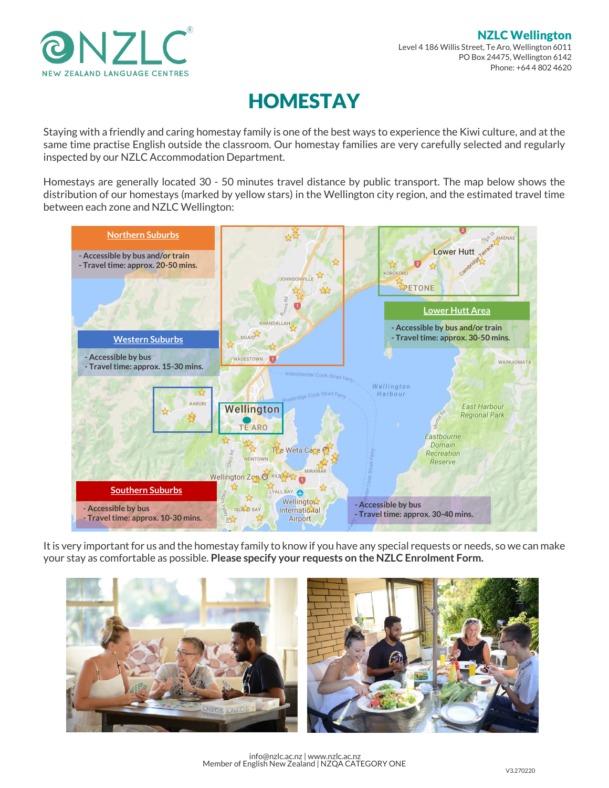

# HOMESTAY

Staying with a friendly and caring homestay family is one of the best ways to experience the Kiwi culture, and at the same time practise English outside the classroom. Our homestay families are very carefully selected and regularly inspected by our NZLC Accommodation Department.

Homestays are generally located 30 - 50 minutes travel distance by public transport. The map below shows the distribution of our homestays (marked by yellow stars) in the Wellington city region, and the estimated travel time between each zone and NZLC Wellington:



It is very important for us and the homestay family to know if you have any special requests or needs, so we can make your stay as comfortable as possible. **Please specify your requests on the NZLC Enrolment Form.** 



info@nzlc.ac.nz | www.nzlc.ac.nz Member of English New Zealand | NZQA CATEGORY ONE V3.270220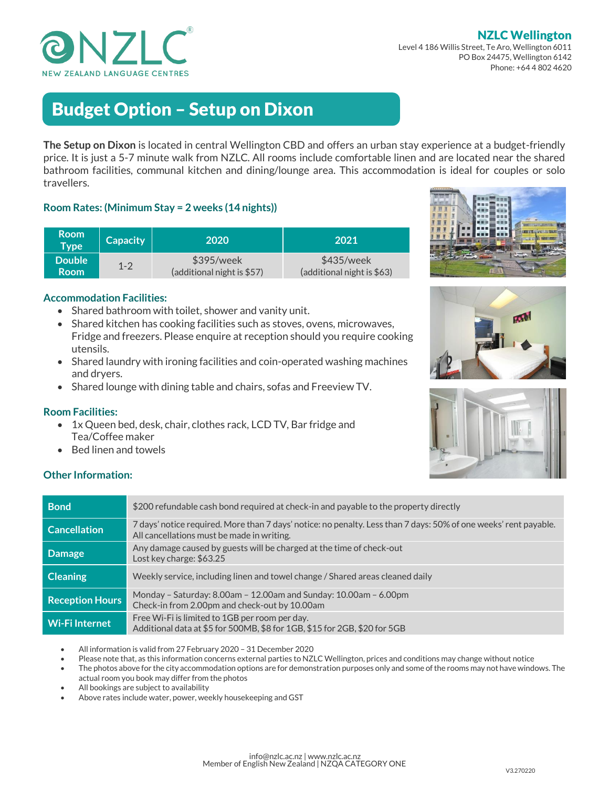

#### NZLC Wellington Level 4 186 Willis Street, Te Aro, Wellington 6011

PO Box 24475, Wellington 6142 Phone: +64 4 802 4620

# Budget Option – Setup on Dixon

**The Setup on Dixon** is located in central Wellington CBD and offers an urban stay experience at a budget-friendly price. It is just a 5-7 minute walk from NZLC. All rooms include comfortable linen and are located near the shared bathroom facilities, communal kitchen and dining/lounge area. This accommodation is ideal for couples or solo travellers.

## **Room Rates: (Minimum Stay = 2 weeks (14 nights))**

| <b>Room</b><br>Type | <b>Capacity</b> | 2020                       | 2021                       |
|---------------------|-----------------|----------------------------|----------------------------|
| <b>Double</b>       | $1 - 2$         | \$395/week                 | \$435/week                 |
| <b>Room</b>         |                 | (additional night is \$57) | (additional night is \$63) |

#### **Accommodation Facilities:**

- Shared bathroom with toilet, shower and vanity unit.
- Shared kitchen has cooking facilities such as stoves, ovens, microwaves, Fridge and freezers. Please enquire at reception should you require cooking utensils.
- Shared laundry with ironing facilities and coin-operated washing machines and dryers.
- Shared lounge with dining table and chairs, sofas and Freeview TV.

#### **Room Facilities:**

- 1x Queen bed, desk, chair, clothes rack, LCD TV, Bar fridge and Tea/Coffee maker
- Bed linen and towels

#### **Other Information:**

| <b>Bond</b>            | \$200 refundable cash bond required at check-in and payable to the property directly                                                                           |
|------------------------|----------------------------------------------------------------------------------------------------------------------------------------------------------------|
| <b>Cancellation</b>    | 7 days' notice required. More than 7 days' notice: no penalty. Less than 7 days: 50% of one weeks' rent payable.<br>All cancellations must be made in writing. |
| <b>Damage</b>          | Any damage caused by guests will be charged at the time of check-out<br>Lost key charge: \$63.25                                                               |
| <b>Cleaning</b>        | Weekly service, including linen and towel change / Shared areas cleaned daily                                                                                  |
| <b>Reception Hours</b> | Monday - Saturday: 8.00am - 12.00am and Sunday: 10.00am - 6.00pm<br>Check-in from 2.00pm and check-out by 10.00am                                              |
| <b>Wi-Filnternet</b>   | Free Wi-Fi is limited to 1GB per room per day.<br>Additional data at \$5 for 500MB, \$8 for 1GB, \$15 for 2GB, \$20 for 5GB                                    |

All information is valid from 27 February 2020 – 31 December 2020

- Please note that, as this information concerns external parties to NZLC Wellington, prices and conditions may change without notice
- The photos above for the city accommodation options are for demonstration purposes only and some of the rooms may not have windows. The actual room you book may differ from the photos
- All bookings are subject to availability
- Above rates include water, power, weekly housekeeping and GST







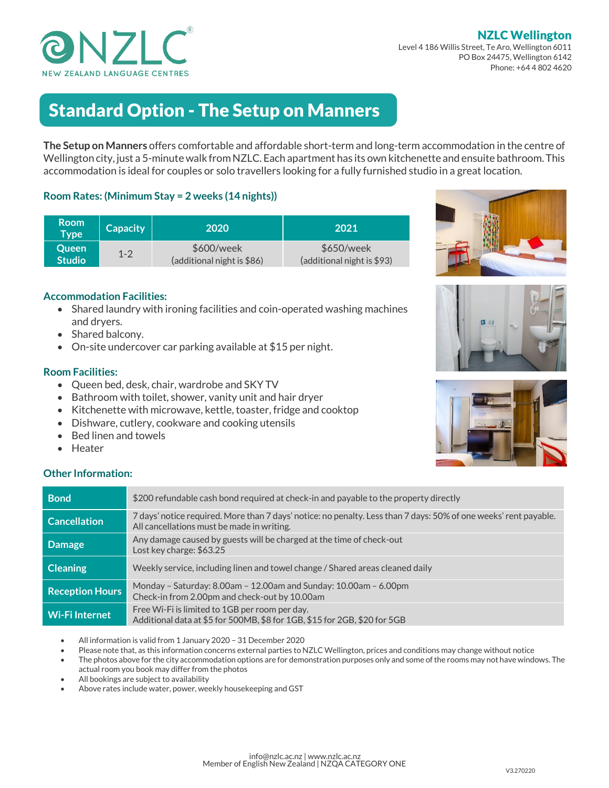

NZLC Wellington Level 4 186 Willis Street, Te Aro, Wellington 6011 PO Box 24475, Wellington 6142 Phone: +64 4 802 4620

# Standard Option - The Setup on Manners

**The Setup on Manners** offers comfortable and affordable short-term and long-term accommodation in the centre of Wellington city, just a 5-minute walk from NZLC. Each apartment has its own kitchenette and ensuite bathroom. This accommodation is ideal for couples or solo travellers looking for a fully furnished studio in a great location.

### **Room Rates: (Minimum Stay = 2 weeks (14 nights))**

| <b>Room</b><br>Type | <b>Capacity</b> | 2020                       | 2021                       |
|---------------------|-----------------|----------------------------|----------------------------|
| <b>Oueen</b>        | $1 - 2$         | \$600/week                 | \$650/week                 |
| <b>Studio</b>       |                 | (additional night is \$86) | (additional night is \$93) |

### **Accommodation Facilities:**

- Shared laundry with ironing facilities and coin-operated washing machines and dryers.
- Shared balcony.
- On-site undercover car parking available at \$15 per night.

### **Room Facilities:**

- Queen bed, desk, chair, wardrobe and SKY TV
- Bathroom with toilet, shower, vanity unit and hair dryer
- Kitchenette with microwave, kettle, toaster, fridge and cooktop
- Dishware, cutlery, cookware and cooking utensils
- Bed linen and towels
- Heater

## **Other Information:**

| <b>Bond</b>            | \$200 refundable cash bond required at check-in and payable to the property directly                                                                           |
|------------------------|----------------------------------------------------------------------------------------------------------------------------------------------------------------|
| <b>Cancellation</b>    | 7 days' notice required. More than 7 days' notice: no penalty. Less than 7 days: 50% of one weeks' rent payable.<br>All cancellations must be made in writing. |
| <b>Damage</b>          | Any damage caused by guests will be charged at the time of check-out<br>Lost key charge: \$63.25                                                               |
| <b>Cleaning</b>        | Weekly service, including linen and towel change / Shared areas cleaned daily                                                                                  |
| <b>Reception Hours</b> | Monday – Saturday: 8.00am – 12.00am and Sunday: 10.00am – 6.00pm<br>Check-in from 2.00pm and check-out by 10.00am                                              |
| Wi-Filnternet          | Free Wi-Fi is limited to 1GB per room per day.<br>Additional data at \$5 for 500MB, \$8 for 1GB, \$15 for 2GB, \$20 for 5GB                                    |

- All information is valid from 1 January 2020 31 December 2020
- Please note that, as this information concerns external parties to NZLC Wellington, prices and conditions may change without notice
- The photos above for the city accommodation options are for demonstration purposes only and some of the rooms may not have windows. The actual room you book may differ from the photos
- All bookings are subject to availability
- Above rates include water, power, weekly housekeeping and GST